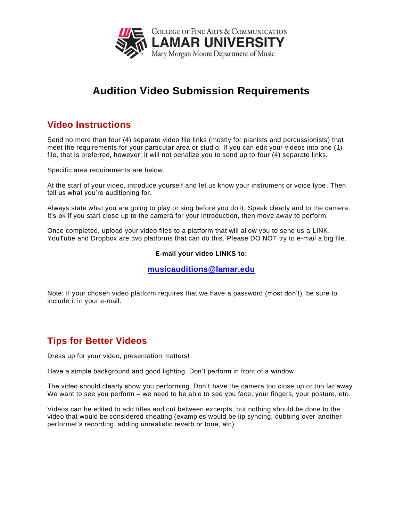

# **Audition Video Submission Requirements**

# **Video Instructions**

Send no more than four (4) separate video file links (mostly for pianists and percussionists) that meet the requirements for your particular area or studio. If you can edit your videos into one (1) file, that is preferred, however, it will not penalize you to send up to four (4) separate links.

Specific area requirements are below.

At the start of your video, introduce yourself and let us know your instrument or voice type. Then tell us what you're auditioning for.

Always state what you are going to play or sing before you do it. Speak clearly and to the camera. It's ok if you start close up to the camera for your introduction, then move away to perform.

Once completed, upload your video files to a platform that will allow you to send us a LINK. YouTube and Dropbox are two platforms that can do this. Please DO NOT try to e-mail a big file.

#### **E-mail your video LINKS to:**

#### **[musicauditions@lamar.edu](mailto:musicauditions@lamar.edu)**

Note: If your chosen video platform requires that we have a password (most don't), be sure to include it in your e-mail.

## **Tips for Better Videos**

Dress up for your video, presentation matters!

Have a simple background and good lighting. Don't perform in front of a window.

The video should clearly show you performing. Don't have the camera too close up or too far away. We want to see you perform – we need to be able to see you face, your fingers, your posture, etc.

Videos can be edited to add titles and cut between excerpts, but nothing should be done to the video that would be considered cheating (examples would be lip syncing, dubbing over another performer's recording, adding unrealistic reverb or tone, etc).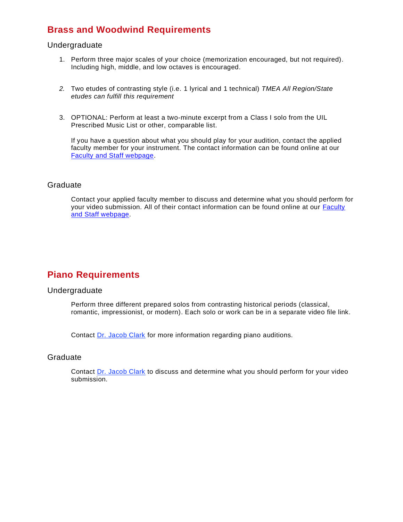## **Brass and Woodwind Requirements**

#### Undergraduate

- 1. Perform three major scales of your choice (memorization encouraged, but not required). Including high, middle, and low octaves is encouraged.
- *2.* Two etudes of contrasting style (i.e. 1 lyrical and 1 technical) *TMEA All Region/State etudes can fulfill this requirement*
- 3. OPTIONAL: Perform at least a two-minute excerpt from a Class I solo from the UIL Prescribed Music List or other, comparable list.

If you have a question about what you should play for your audition, contact the applied faculty member for your instrument. The contact information can be found online at our [Faculty and Staff webpage.](https://www.lamar.edu/fine-arts-communication/music/faculty-and-staff/index.html)

#### Graduate

Contact your applied faculty member to discuss and determine what you should perform for your video submission. All of their contact information can be found online at our [Faculty](https://www.lamar.edu/fine-arts-communication/music/faculty-and-staff/index.html)  [and Staff webpage.](https://www.lamar.edu/fine-arts-communication/music/faculty-and-staff/index.html)

## **Piano Requirements**

#### Undergraduate

Perform three different prepared solos from contrasting historical periods (classical, romantic, impressionist, or modern). Each solo or work can be in a separate video file link.

Contact [Dr. Jacob Clark](mailto:jclark24@lamar.edu) for more information regarding piano auditions.

#### Graduate

Contact [Dr. Jacob Clark](mailto:jclark24@lamar.edu) to discuss and determine what you should perform for your video submission.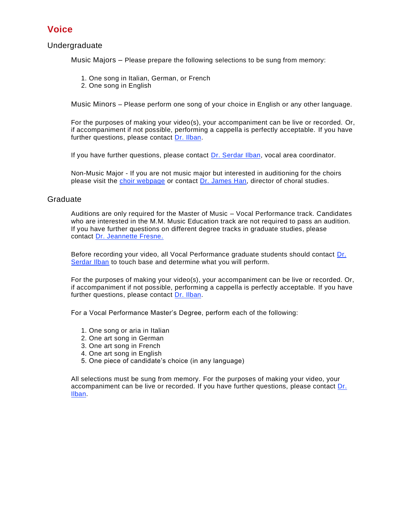### **Voice**

#### Undergraduate

Music Majors – Please prepare the following selections to be sung from memory:

- 1. One song in Italian, German, or French
- 2. One song in English

Music Minors – Please perform one song of your choice in English or any other language.

For the purposes of making your video(s), your accompaniment can be live or recorded. Or, if accompaniment if not possible, performing a cappella is perfectly acceptable. If you have further questions, please contact [Dr. Ilban.](https://www.lamar.edu/fine-arts-communication/music/faculty-and-staff/serdar-ilban.html)

If you have further questions, please contact [Dr. Serdar Ilban,](https://www.lamar.edu/fine-arts-communication/music/faculty-and-staff/serdar-ilban.html) vocal area coordinator.

Non-Music Major - If you are not music major but interested in auditioning for the choirs please visit the [choir webpage](https://www.lamar.edu/fine-arts-communication/music/ensembles/choirs/index.html) or contact [Dr. James Han,](https://www.lamar.edu/fine-arts-communication/music/faculty-and-staff/james-han.html) director of choral studies.

#### Graduate

Auditions are only required for the Master of Music – Vocal Performance track. Candidates who are interested in the M.M. Music Education track are not required to pass an audition. If you have further questions on different degree tracks in graduate studies, please contact [Dr. Jeannette Fresne.](https://www.lamar.edu/fine-arts-communication/music/faculty-and-staff/jeanette-fresne.html)

Before recording your video, all Vocal Performance graduate students should contact [Dr.](https://www.lamar.edu/fine-arts-communication/music/faculty-and-staff/serdar-ilban.html)  [Serdar Ilban](https://www.lamar.edu/fine-arts-communication/music/faculty-and-staff/serdar-ilban.html) to touch base and determine what you will perform.

For the purposes of making your video(s), your accompaniment can be live or recorded. Or, if accompaniment if not possible, performing a cappella is perfectly acceptable. If you have further questions, please contact [Dr. Ilban.](https://www.lamar.edu/fine-arts-communication/music/faculty-and-staff/serdar-ilban.html)

For a Vocal Performance Master's Degree, perform each of the following:

- 1. One song or aria in Italian
- 2. One art song in German
- 3. One art song in French
- 4. One art song in English
- 5. One piece of candidate's choice (in any language)

All selections must be sung from memory. For the purposes of making your video, your accompaniment can be live or recorded. If you have further questions, please contact [Dr.](https://www.lamar.edu/fine-arts-communication/music/faculty-and-staff/serdar-ilban.html)  [Ilban.](https://www.lamar.edu/fine-arts-communication/music/faculty-and-staff/serdar-ilban.html)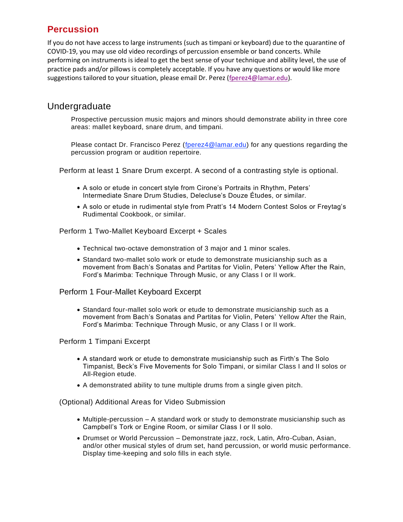# **Percussion**

If you do not have access to large instruments (such as timpani or keyboard) due to the quarantine of COVID-19, you may use old video recordings of percussion ensemble or band concerts. While performing on instruments is ideal to get the best sense of your technique and ability level, the use of practice pads and/or pillows is completely acceptable. If you have any questions or would like more suggestions tailored to your situation, please email Dr. Perez [\(fperez4@lamar.edu\)](mailto:fperez4@lamar.edu).

### Undergraduate

Prospective percussion music majors and minors should demonstrate ability in three core areas: mallet keyboard, snare drum, and timpani.

Please contact Dr. Francisco Perez [\(fperez4@lamar.edu\)](mailto:fperez4@lamar.edu) for any questions regarding the percussion program or audition repertoire.

Perform at least 1 Snare Drum excerpt. A second of a contrasting style is optional.

- A solo or etude in concert style from Cirone's Portraits in Rhythm, Peters' Intermediate Snare Drum Studies, Delecluse's Douze Études, or similar.
- A solo or etude in rudimental style from Pratt's 14 Modern Contest Solos or Freytag's Rudimental Cookbook, or similar.

Perform 1 Two-Mallet Keyboard Excerpt + Scales

- Technical two-octave demonstration of 3 major and 1 minor scales.
- Standard two-mallet solo work or etude to demonstrate musicianship such as a movement from Bach's Sonatas and Partitas for Violin, Peters' Yellow After the Rain, Ford's Marimba: Technique Through Music, or any Class I or II work.

#### Perform 1 Four-Mallet Keyboard Excerpt

• Standard four-mallet solo work or etude to demonstrate musicianship such as a movement from Bach's Sonatas and Partitas for Violin, Peters' Yellow After the Rain, Ford's Marimba: Technique Through Music, or any Class I or II work.

#### Perform 1 Timpani Excerpt

- A standard work or etude to demonstrate musicianship such as Firth's The Solo Timpanist, Beck's Five Movements for Solo Timpani, or similar Class I and II solos or All-Region etude.
- A demonstrated ability to tune multiple drums from a single given pitch.

(Optional) Additional Areas for Video Submission

- Multiple-percussion A standard work or study to demonstrate musicianship such as Campbell's Tork or Engine Room, or similar Class I or II solo.
- Drumset or World Percussion Demonstrate jazz, rock, Latin, Afro-Cuban, Asian, and/or other musical styles of drum set, hand percussion, or world music performance. Display time-keeping and solo fills in each style.